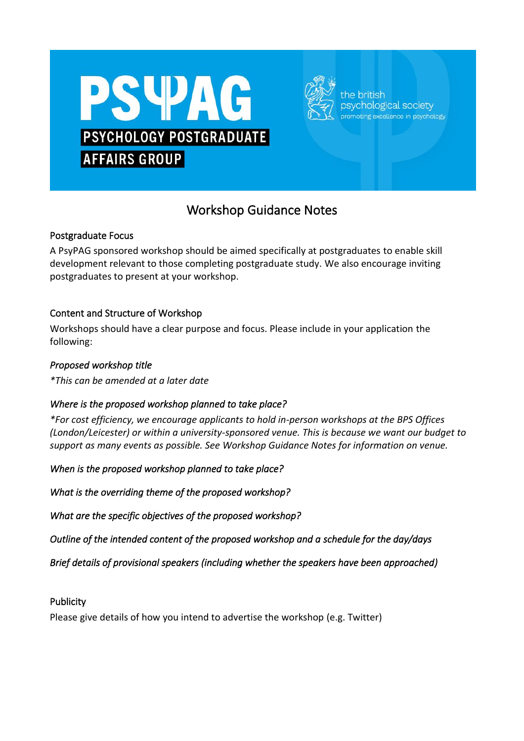



the hritish osychological society oting excellence in psychology

# Workshop Guidance Notes

## Postgraduate Focus

A PsyPAG sponsored workshop should be aimed specifically at postgraduates to enable skill development relevant to those completing postgraduate study. We also encourage inviting postgraduates to present at your workshop.

## Content and Structure of Workshop

Workshops should have a clear purpose and focus. Please include in your application the following:

## *Proposed workshop title*

*\*This can be amended at a later date*

## *Where is the proposed workshop planned to take place?*

*\*For cost efficiency, we encourage applicants to hold in-person workshops at the BPS Offices (London/Leicester) or within a university-sponsored venue. This is because we want our budget to support as many events as possible. See Workshop Guidance Notes for information on venue.*

*When is the proposed workshop planned to take place?* 

*What is the overriding theme of the proposed workshop?* 

*What are the specific objectives of the proposed workshop?* 

*Outline of the intended content of the proposed workshop and a schedule for the day/days* 

*Brief details of provisional speakers (including whether the speakers have been approached)* 

## **Publicity**

Please give details of how you intend to advertise the workshop (e.g. Twitter)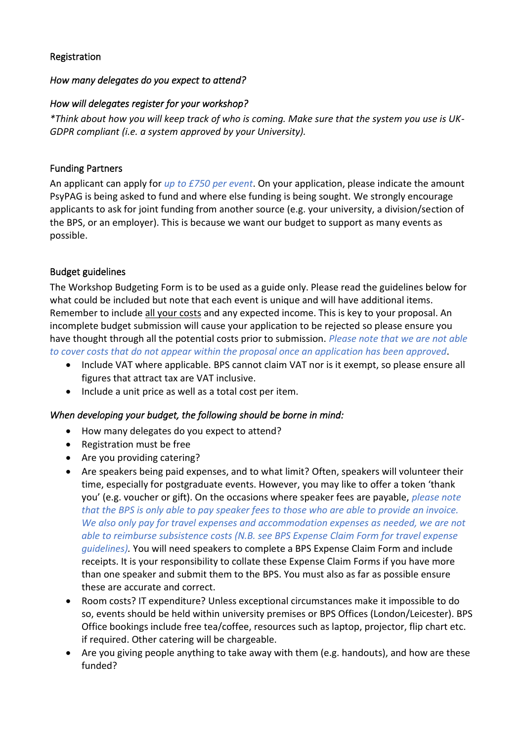## Registration

## *How many delegates do you expect to attend?*

## *How will delegates register for your workshop?*

*\*Think about how you will keep track of who is coming. Make sure that the system you use is UK-GDPR compliant (i.e. a system approved by your University).*

## Funding Partners

An applicant can apply for *up to £750 per event*. On your application, please indicate the amount PsyPAG is being asked to fund and where else funding is being sought. We strongly encourage applicants to ask for joint funding from another source (e.g. your university, a division/section of the BPS, or an employer). This is because we want our budget to support as many events as possible.

## Budget guidelines

The Workshop Budgeting Form is to be used as a guide only. Please read the guidelines below for what could be included but note that each event is unique and will have additional items. Remember to include all your costs and any expected income. This is key to your proposal. An incomplete budget submission will cause your application to be rejected so please ensure you have thought through all the potential costs prior to submission. *Please note that we are not able to cover costs that do not appear within the proposal once an application has been approved*.

- Include VAT where applicable. BPS cannot claim VAT nor is it exempt, so please ensure all figures that attract tax are VAT inclusive.
- Include a unit price as well as a total cost per item.

## *When developing your budget, the following should be borne in mind:*

- How many delegates do you expect to attend?
- Registration must be free
- Are you providing catering?
- Are speakers being paid expenses, and to what limit? Often, speakers will volunteer their time, especially for postgraduate events. However, you may like to offer a token 'thank you' (e.g. voucher or gift). On the occasions where speaker fees are payable, *please note that the BPS is only able to pay speaker fees to those who are able to provide an invoice. We also only pay for travel expenses and accommodation expenses as needed, we are not able to reimburse subsistence costs (N.B. see BPS Expense Claim Form for travel expense guidelines).* You will need speakers to complete a BPS Expense Claim Form and include receipts. It is your responsibility to collate these Expense Claim Forms if you have more than one speaker and submit them to the BPS. You must also as far as possible ensure these are accurate and correct.
- Room costs? IT expenditure? Unless exceptional circumstances make it impossible to do so, events should be held within university premises or BPS Offices (London/Leicester). BPS Office bookings include free tea/coffee, resources such as laptop, projector, flip chart etc. if required. Other catering will be chargeable.
- Are you giving people anything to take away with them (e.g. handouts), and how are these funded?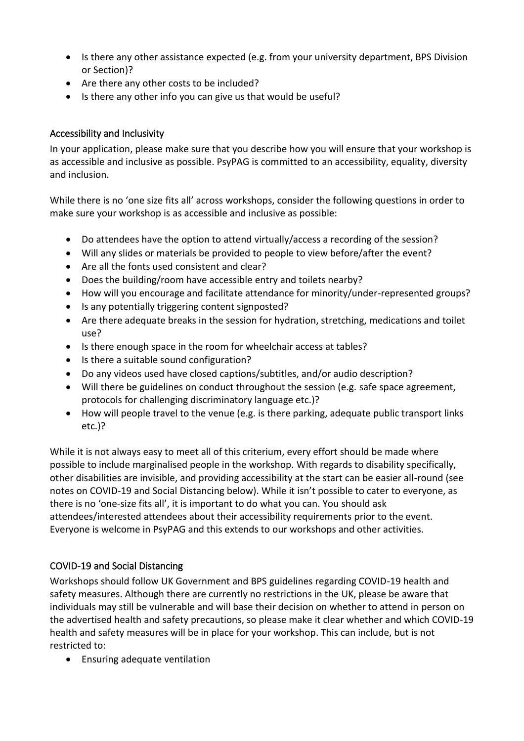- Is there any other assistance expected (e.g. from your university department, BPS Division or Section)?
- Are there any other costs to be included?
- Is there any other info you can give us that would be useful?

## Accessibility and Inclusivity

In your application, please make sure that you describe how you will ensure that your workshop is as accessible and inclusive as possible. PsyPAG is committed to an accessibility, equality, diversity and inclusion.

While there is no 'one size fits all' across workshops, consider the following questions in order to make sure your workshop is as accessible and inclusive as possible:

- Do attendees have the option to attend virtually/access a recording of the session?
- Will any slides or materials be provided to people to view before/after the event?
- Are all the fonts used consistent and clear?
- Does the building/room have accessible entry and toilets nearby?
- How will you encourage and facilitate attendance for minority/under-represented groups?
- Is any potentially triggering content signposted?
- Are there adequate breaks in the session for hydration, stretching, medications and toilet use?
- Is there enough space in the room for wheelchair access at tables?
- Is there a suitable sound configuration?
- Do any videos used have closed captions/subtitles, and/or audio description?
- Will there be guidelines on conduct throughout the session (e.g. safe space agreement, protocols for challenging discriminatory language etc.)?
- How will people travel to the venue (e.g. is there parking, adequate public transport links etc.)?

While it is not always easy to meet all of this criterium, every effort should be made where possible to include marginalised people in the workshop. With regards to disability specifically, other disabilities are invisible, and providing accessibility at the start can be easier all-round (see notes on COVID-19 and Social Distancing below). While it isn't possible to cater to everyone, as there is no 'one-size fits all', it is important to do what you can. You should ask attendees/interested attendees about their accessibility requirements prior to the event. Everyone is welcome in PsyPAG and this extends to our workshops and other activities.

## COVID-19 and Social Distancing

Workshops should follow UK Government and BPS guidelines regarding COVID-19 health and safety measures. Although there are currently no restrictions in the UK, please be aware that individuals may still be vulnerable and will base their decision on whether to attend in person on the advertised health and safety precautions, so please make it clear whether and which COVID-19 health and safety measures will be in place for your workshop. This can include, but is not restricted to:

• Ensuring adequate ventilation